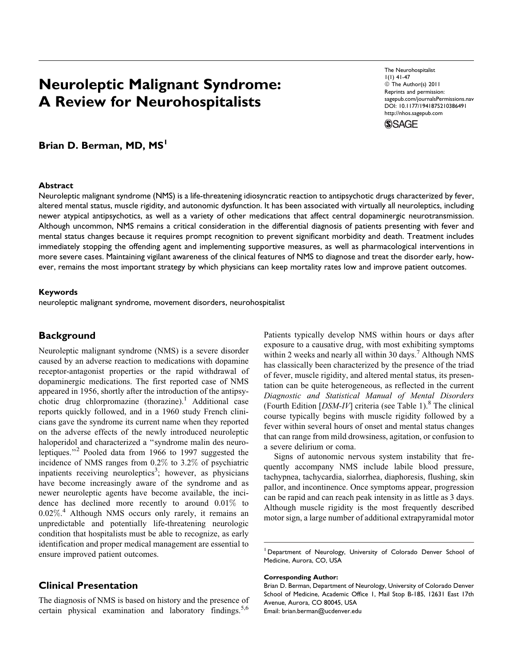# Neuroleptic Malignant Syndrome: A Review for Neurohospitalists

The Neurohospitalist 1(1) 41-47  $\circ$  The Author(s) 2011 Reprints and permission: sagepub.com/journalsPermissions.nav DOI: 10.1177/1941875210386491 http://nhos.sagepub.com



Brian D. Berman, MD, MS<sup>1</sup>

#### Abstract

Neuroleptic malignant syndrome (NMS) is a life-threatening idiosyncratic reaction to antipsychotic drugs characterized by fever, altered mental status, muscle rigidity, and autonomic dysfunction. It has been associated with virtually all neuroleptics, including newer atypical antipsychotics, as well as a variety of other medications that affect central dopaminergic neurotransmission. Although uncommon, NMS remains a critical consideration in the differential diagnosis of patients presenting with fever and mental status changes because it requires prompt recognition to prevent significant morbidity and death. Treatment includes immediately stopping the offending agent and implementing supportive measures, as well as pharmacological interventions in more severe cases. Maintaining vigilant awareness of the clinical features of NMS to diagnose and treat the disorder early, however, remains the most important strategy by which physicians can keep mortality rates low and improve patient outcomes.

#### Keywords

neuroleptic malignant syndrome, movement disorders, neurohospitalist

# **Background**

Neuroleptic malignant syndrome (NMS) is a severe disorder caused by an adverse reaction to medications with dopamine receptor-antagonist properties or the rapid withdrawal of dopaminergic medications. The first reported case of NMS appeared in 1956, shortly after the introduction of the antipsychotic drug chlorpromazine (thorazine).<sup>1</sup> Additional case reports quickly followed, and in a 1960 study French clinicians gave the syndrome its current name when they reported on the adverse effects of the newly introduced neuroleptic haloperidol and characterized a ''syndrome malin des neuroleptiques.''2 Pooled data from 1966 to 1997 suggested the incidence of NMS ranges from 0.2% to 3.2% of psychiatric inpatients receiving neuroleptics<sup>3</sup>; however, as physicians have become increasingly aware of the syndrome and as newer neuroleptic agents have become available, the incidence has declined more recently to around 0.01% to 0.02%. <sup>4</sup> Although NMS occurs only rarely, it remains an unpredictable and potentially life-threatening neurologic condition that hospitalists must be able to recognize, as early identification and proper medical management are essential to ensure improved patient outcomes.

# Clinical Presentation

The diagnosis of NMS is based on history and the presence of certain physical examination and laboratory findings.<sup>5,6</sup>

Patients typically develop NMS within hours or days after exposure to a causative drug, with most exhibiting symptoms within 2 weeks and nearly all within 30 days.<sup>7</sup> Although NMS has classically been characterized by the presence of the triad of fever, muscle rigidity, and altered mental status, its presentation can be quite heterogeneous, as reflected in the current Diagnostic and Statistical Manual of Mental Disorders (Fourth Edition [ $DSM-IV$ ] criteria (see Table 1).<sup>8</sup> The clinical course typically begins with muscle rigidity followed by a fever within several hours of onset and mental status changes that can range from mild drowsiness, agitation, or confusion to a severe delirium or coma.

Signs of autonomic nervous system instability that frequently accompany NMS include labile blood pressure, tachypnea, tachycardia, sialorrhea, diaphoresis, flushing, skin pallor, and incontinence. Once symptoms appear, progression can be rapid and can reach peak intensity in as little as 3 days. Although muscle rigidity is the most frequently described motor sign, a large number of additional extrapyramidal motor

#### Corresponding Author:

Email: brian.berman@ucdenver.edu

<sup>1</sup> Department of Neurology, University of Colorado Denver School of Medicine, Aurora, CO, USA

Brian D. Berman, Department of Neurology, University of Colorado Denver School of Medicine, Academic Office 1, Mail Stop B-185, 12631 East 17th Avenue, Aurora, CO 80045, USA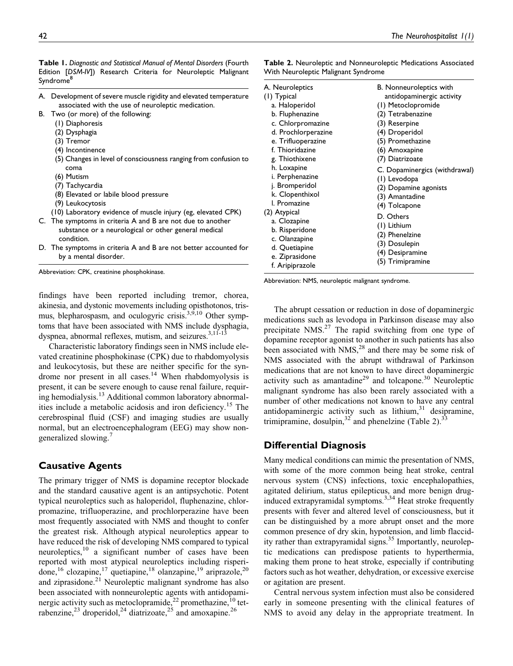Table 1. Diagnostic and Statistical Manual of Mental Disorders (Fourth Edition [DSM-IV]) Research Criteria for Neuroleptic Malignant Syndrome<sup>8</sup>

- A. Development of severe muscle rigidity and elevated temperature associated with the use of neuroleptic medication.
- B. Two (or more) of the following:
	- (1) Diaphoresis
	- (2) Dysphagia
	- (3) Tremor
	- (4) Incontinence
	- (5) Changes in level of consciousness ranging from confusion to coma
	- (6) Mutism
	- (7) Tachycardia
	- (8) Elevated or labile blood pressure
	- (9) Leukocytosis
	- (10) Laboratory evidence of muscle injury (eg, elevated CPK)
- C. The symptoms in criteria A and B are not due to another substance or a neurological or other general medical condition.
- D. The symptoms in criteria A and B are not better accounted for by a mental disorder.

Abbreviation: CPK, creatinine phosphokinase.

findings have been reported including tremor, chorea, akinesia, and dystonic movements including opisthotonos, trismus, blepharospasm, and oculogyric crisis.<sup>3,9,10</sup> Other symptoms that have been associated with NMS include dysphagia, dyspnea, abnormal reflexes, mutism, and seizures. $3,11-13$ 

Characteristic laboratory findings seen in NMS include elevated creatinine phosphokinase (CPK) due to rhabdomyolysis and leukocytosis, but these are neither specific for the syndrome nor present in all cases.<sup>14</sup> When rhabdomyolysis is present, it can be severe enough to cause renal failure, requiring hemodialysis.<sup>13</sup> Additional common laboratory abnormalities include a metabolic acidosis and iron deficiency.<sup>15</sup> The cerebrospinal fluid (CSF) and imaging studies are usually normal, but an electroencephalogram (EEG) may show nongeneralized slowing.<sup>7</sup>

# Causative Agents

The primary trigger of NMS is dopamine receptor blockade and the standard causative agent is an antipsychotic. Potent typical neuroleptics such as haloperidol, fluphenazine, chlorpromazine, trifluoperazine, and prochlorperazine have been most frequently associated with NMS and thought to confer the greatest risk. Although atypical neuroleptics appear to have reduced the risk of developing NMS compared to typical neuroleptics,<sup>10</sup> a significant number of cases have been reported with most atypical neuroleptics including risperidone,<sup>16</sup> clozapine,<sup>17</sup> quetiapine,<sup>18</sup> olanzapine,<sup>19</sup> ariprazole,<sup>20</sup> and ziprasidone.<sup>21</sup> Neuroleptic malignant syndrome has also been associated with nonneuroleptic agents with antidopaminergic activity such as metoclopramide,  $22$  promethazine,  $10$  tetrabenzine,<sup>23</sup> droperidol,<sup>24</sup> diatrizoate,<sup>25</sup> and amoxapine.<sup>26</sup>

| Table 2. Neuroleptic and Nonneuroleptic Medications Associated |  |
|----------------------------------------------------------------|--|
| With Neuroleptic Malignant Syndrome                            |  |

| A. Neuroleptics<br>(1) Typical<br>a. Haloperidol<br>b. Fluphenazine<br>c. Chlorpromazine<br>d. Prochlorperazine<br>e. Trifluoperazine<br>f. Thioridazine<br>g. Thiothixene<br>h. Loxapine<br>i. Perphenazine<br>j. Bromperidol<br>k. Clopenthixol<br>I. Promazine<br>(2) Atypical<br>a. Clozapine<br>b. Risperidone<br>c. Olanzapine<br>d. Quetiapine<br>e. Ziprasidone<br>f. Aripiprazole | B. Nonneuroleptics with<br>antidopaminergic activity<br>(1) Metoclopromide<br>(2) Tetrabenazine<br>(3) Reserpine<br>(4) Droperidol<br>(5) Promethazine<br>(6) Amoxapine<br>(7) Diatrizoate<br>C. Dopaminergics (withdrawal)<br>(1) Levodopa<br>(2) Dopamine agonists<br>(3) Amantadine<br>(4) Tolcapone<br>D. Others<br>(1) Lithium<br>(2) Phenelzine<br>(3) Dosulepin<br>(4) Desipramine<br>(5) Trimipramine |
|--------------------------------------------------------------------------------------------------------------------------------------------------------------------------------------------------------------------------------------------------------------------------------------------------------------------------------------------------------------------------------------------|---------------------------------------------------------------------------------------------------------------------------------------------------------------------------------------------------------------------------------------------------------------------------------------------------------------------------------------------------------------------------------------------------------------|

Abbreviation: NMS, neuroleptic malignant syndrome.

The abrupt cessation or reduction in dose of dopaminergic medications such as levodopa in Parkinson disease may also precipitate  $NMS<sup>27</sup>$ . The rapid switching from one type of dopamine receptor agonist to another in such patients has also been associated with NMS,<sup>28</sup> and there may be some risk of NMS associated with the abrupt withdrawal of Parkinson medications that are not known to have direct dopaminergic activity such as amantadine<sup>29</sup> and tolcapone.<sup>30</sup> Neuroleptic malignant syndrome has also been rarely associated with a number of other medications not known to have any central antidopaminergic activity such as lithium, $31$  desipramine, trimipramine, dosulpin,  $32$  and phenelzine (Table 2).  $33$ 

# Differential Diagnosis

Many medical conditions can mimic the presentation of NMS, with some of the more common being heat stroke, central nervous system (CNS) infections, toxic encephalopathies, agitated delirium, status epilepticus, and more benign druginduced extrapyramidal symptoms.<sup>3,34</sup> Heat stroke frequently presents with fever and altered level of consciousness, but it can be distinguished by a more abrupt onset and the more common presence of dry skin, hypotension, and limb flaccidity rather than extrapyramidal signs.<sup>35</sup> Importantly, neuroleptic medications can predispose patients to hyperthermia, making them prone to heat stroke, especially if contributing factors such as hot weather, dehydration, or excessive exercise or agitation are present.

Central nervous system infection must also be considered early in someone presenting with the clinical features of NMS to avoid any delay in the appropriate treatment. In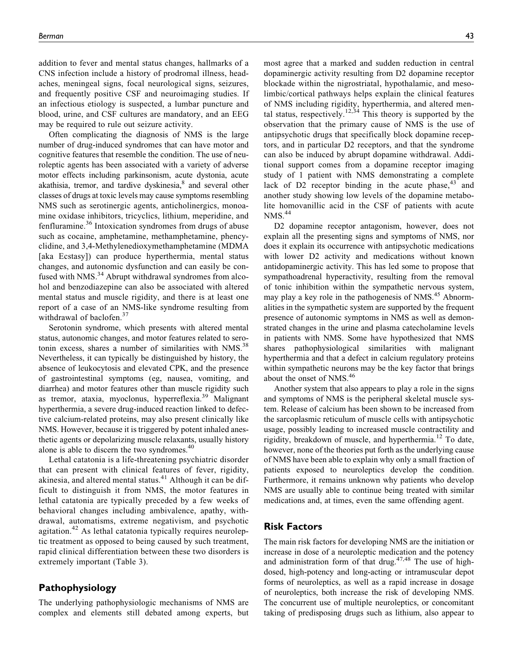addition to fever and mental status changes, hallmarks of a CNS infection include a history of prodromal illness, headaches, meningeal signs, focal neurological signs, seizures, and frequently positive CSF and neuroimaging studies. If an infectious etiology is suspected, a lumbar puncture and blood, urine, and CSF cultures are mandatory, and an EEG may be required to rule out seizure activity.

Often complicating the diagnosis of NMS is the large number of drug-induced syndromes that can have motor and cognitive features that resemble the condition. The use of neuroleptic agents has been associated with a variety of adverse motor effects including parkinsonism, acute dystonia, acute akathisia, tremor, and tardive dyskinesia,<sup>8</sup> and several other classes of drugs at toxic levels may cause symptoms resembling NMS such as serotinergic agents, anticholinergics, monoamine oxidase inhibitors, tricyclics, lithium, meperidine, and fenfluramine.<sup>36</sup> Intoxication syndromes from drugs of abuse such as cocaine, amphetamine, methamphetamine, phencyclidine, and 3,4-Methylenedioxymethamphetamine (MDMA [aka Ecstasy]) can produce hyperthermia, mental status changes, and autonomic dysfunction and can easily be confused with NMS.<sup>34</sup> Abrupt withdrawal syndromes from alcohol and benzodiazepine can also be associated with altered mental status and muscle rigidity, and there is at least one report of a case of an NMS-like syndrome resulting from withdrawal of baclofen. $37$ 

Serotonin syndrome, which presents with altered mental status, autonomic changes, and motor features related to serotonin excess, shares a number of similarities with NMS.<sup>38</sup> Nevertheless, it can typically be distinguished by history, the absence of leukocytosis and elevated CPK, and the presence of gastrointestinal symptoms (eg, nausea, vomiting, and diarrhea) and motor features other than muscle rigidity such as tremor, ataxia, myoclonus, hyperreflexia.<sup>39</sup> Malignant hyperthermia, a severe drug-induced reaction linked to defective calcium-related proteins, may also present clinically like NMS. However, because it is triggered by potent inhaled anesthetic agents or depolarizing muscle relaxants, usually history alone is able to discern the two syndromes.<sup>40</sup>

Lethal catatonia is a life-threatening psychiatric disorder that can present with clinical features of fever, rigidity, akinesia, and altered mental status.<sup>41</sup> Although it can be difficult to distinguish it from NMS, the motor features in lethal catatonia are typically preceded by a few weeks of behavioral changes including ambivalence, apathy, withdrawal, automatisms, extreme negativism, and psychotic agitation.<sup>42</sup> As lethal catatonia typically requires neuroleptic treatment as opposed to being caused by such treatment, rapid clinical differentiation between these two disorders is extremely important (Table 3).

# Pathophysiology

The underlying pathophysiologic mechanisms of NMS are complex and elements still debated among experts, but most agree that a marked and sudden reduction in central dopaminergic activity resulting from D2 dopamine receptor blockade within the nigrostriatal, hypothalamic, and mesolimbic/cortical pathways helps explain the clinical features of NMS including rigidity, hyperthermia, and altered mental status, respectively.<sup>12,34</sup> This theory is supported by the observation that the primary cause of NMS is the use of antipsychotic drugs that specifically block dopamine receptors, and in particular D2 receptors, and that the syndrome can also be induced by abrupt dopamine withdrawal. Additional support comes from a dopamine receptor imaging study of 1 patient with NMS demonstrating a complete lack of D2 receptor binding in the acute phase,  $43$  and another study showing low levels of the dopamine metabolite homovanillic acid in the CSF of patients with acute  $NMS.<sup>44</sup>$ 

D2 dopamine receptor antagonism, however, does not explain all the presenting signs and symptoms of NMS, nor does it explain its occurrence with antipsychotic medications with lower D2 activity and medications without known antidopaminergic activity. This has led some to propose that sympathoadrenal hyperactivity, resulting from the removal of tonic inhibition within the sympathetic nervous system, may play a key role in the pathogenesis of NMS.<sup>45</sup> Abnormalities in the sympathetic system are supported by the frequent presence of autonomic symptoms in NMS as well as demonstrated changes in the urine and plasma catecholamine levels in patients with NMS. Some have hypothesized that NMS shares pathophysiological similarities with malignant hyperthermia and that a defect in calcium regulatory proteins within sympathetic neurons may be the key factor that brings about the onset of NMS.<sup>46</sup>

Another system that also appears to play a role in the signs and symptoms of NMS is the peripheral skeletal muscle system. Release of calcium has been shown to be increased from the sarcoplasmic reticulum of muscle cells with antipsychotic usage, possibly leading to increased muscle contractility and rigidity, breakdown of muscle, and hyperthermia.<sup>12</sup> To date, however, none of the theories put forth as the underlying cause of NMS have been able to explain why only a small fraction of patients exposed to neuroleptics develop the condition. Furthermore, it remains unknown why patients who develop NMS are usually able to continue being treated with similar medications and, at times, even the same offending agent.

## Risk Factors

The main risk factors for developing NMS are the initiation or increase in dose of a neuroleptic medication and the potency and administration form of that drug.<sup>47,48</sup> The use of highdosed, high-potency and long-acting or intramuscular depot forms of neuroleptics, as well as a rapid increase in dosage of neuroleptics, both increase the risk of developing NMS. The concurrent use of multiple neuroleptics, or concomitant taking of predisposing drugs such as lithium, also appear to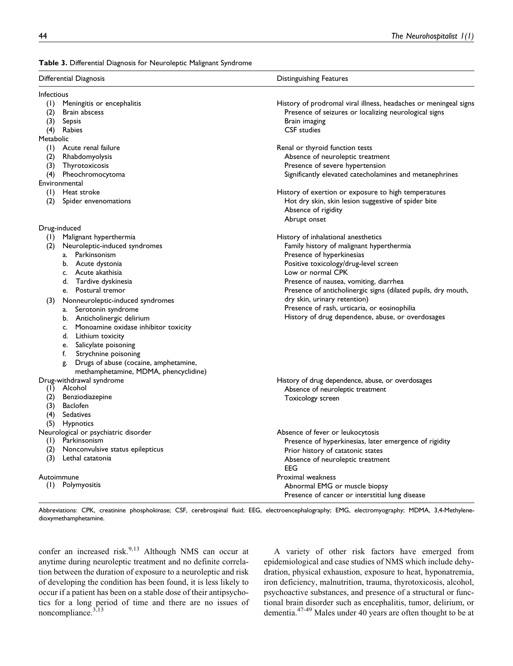Table 3. Differential Diagnosis for Neuroleptic Malignant Syndrome

|                          | Differential Diagnosis                                                                                                                                                                                                                                                                                         | <b>Distinguishing Features</b>                                                                                                                                                                                                                                                        |
|--------------------------|----------------------------------------------------------------------------------------------------------------------------------------------------------------------------------------------------------------------------------------------------------------------------------------------------------------|---------------------------------------------------------------------------------------------------------------------------------------------------------------------------------------------------------------------------------------------------------------------------------------|
| <b>Infectious</b>        |                                                                                                                                                                                                                                                                                                                |                                                                                                                                                                                                                                                                                       |
| (1)<br>(2)<br>(3)<br>(4) | Meningitis or encephalitis<br>Brain abscess<br>Sepsis<br>Rabies                                                                                                                                                                                                                                                | History of prodromal viral illness, headaches or meningeal signs<br>Presence of seizures or localizing neurological signs<br>Brain imaging<br>CSF studies                                                                                                                             |
| Metabolic                |                                                                                                                                                                                                                                                                                                                |                                                                                                                                                                                                                                                                                       |
| (1)<br>(2)<br>(3)<br>(4) | Acute renal failure<br>Rhabdomyolysis<br>Thyrotoxicosis<br>Pheochromocytoma<br>Environmental                                                                                                                                                                                                                   | Renal or thyroid function tests<br>Absence of neuroleptic treatment<br>Presence of severe hypertension<br>Significantly elevated catecholamines and metanephrines                                                                                                                     |
| (1)<br>(2)               | Heat stroke<br>Spider envenomations                                                                                                                                                                                                                                                                            | History of exertion or exposure to high temperatures<br>Hot dry skin, skin lesion suggestive of spider bite<br>Absence of rigidity<br>Abrupt onset                                                                                                                                    |
| (1)<br>(2)               | Drug-induced<br>Malignant hyperthermia<br>Neuroleptic-induced syndromes<br>a. Parkinsonism<br>b. Acute dystonia<br>c. Acute akathisia<br>d. Tardive dyskinesia<br>e. Postural tremor                                                                                                                           | History of inhalational anesthetics<br>Family history of malignant hyperthermia<br>Presence of hyperkinesias<br>Positive toxicology/drug-level screen<br>Low or normal CPK<br>Presence of nausea, vomiting, diarrhea<br>Presence of anticholinergic signs (dilated pupils, dry mouth, |
| (3)                      | Nonneuroleptic-induced syndromes<br>a. Serotonin syndrome<br>b. Anticholinergic delirium<br>c. Monoamine oxidase inhibitor toxicity<br>d. Lithium toxicity<br>Salicylate poisoning<br>е.<br>f.<br>Strychnine poisoning<br>Drugs of abuse (cocaine, amphetamine,<br>g.<br>methamphetamine, MDMA, phencyclidine) | dry skin, urinary retention)<br>Presence of rash, urticaria, or eosinophilia<br>History of drug dependence, abuse, or overdosages                                                                                                                                                     |
| (1)<br>(2)<br>(3)<br>(4) | Drug-withdrawal syndrome<br>Alcohol<br><b>Benziodiazepine</b><br>Baclofen<br>Sedatives                                                                                                                                                                                                                         | History of drug dependence, abuse, or overdosages<br>Absence of neuroleptic treatment<br>Toxicology screen                                                                                                                                                                            |
| (5)<br>(1)<br>(2)<br>(3) | Hypnotics<br>Neurological or psychiatric disorder<br>Parkinsonism<br>Nonconvulsive status epilepticus<br>Lethal catatonia                                                                                                                                                                                      | Absence of fever or leukocytosis<br>Presence of hyperkinesias, later emergence of rigidity<br>Prior history of catatonic states<br>Absence of neuroleptic treatment<br><b>EEG</b>                                                                                                     |
| (1)                      | Autoimmune<br>Polymyositis                                                                                                                                                                                                                                                                                     | Proximal weakness<br>Abnormal EMG or muscle biopsy<br>Presence of cancer or interstitial lung disease                                                                                                                                                                                 |

Abbreviations: CPK, creatinine phosphokinase; CSF, cerebrospinal fluid; EEG, electroencephalography; EMG, electromyography; MDMA, 3,4-Methylenedioxymethamphetamine.

confer an increased risk.<sup>9,13</sup> Although NMS can occur at anytime during neuroleptic treatment and no definite correlation between the duration of exposure to a neuroleptic and risk of developing the condition has been found, it is less likely to occur if a patient has been on a stable dose of their antipsychotics for a long period of time and there are no issues of noncompliance.3,13

A variety of other risk factors have emerged from epidemiological and case studies of NMS which include dehydration, physical exhaustion, exposure to heat, hyponatremia, iron deficiency, malnutrition, trauma, thyrotoxicosis, alcohol, psychoactive substances, and presence of a structural or functional brain disorder such as encephalitis, tumor, delirium, or dementia.47-49 Males under 40 years are often thought to be at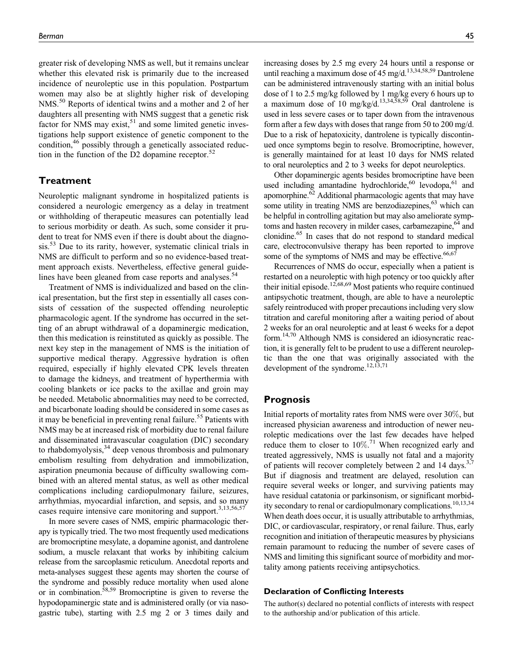greater risk of developing NMS as well, but it remains unclear whether this elevated risk is primarily due to the increased incidence of neuroleptic use in this population. Postpartum women may also be at slightly higher risk of developing NMS.<sup>50</sup> Reports of identical twins and a mother and 2 of her daughters all presenting with NMS suggest that a genetic risk factor for NMS may exist,<sup>51</sup> and some limited genetic investigations help support existence of genetic component to the condition,<sup>46</sup> possibly through a genetically associated reduction in the function of the D2 dopamine receptor. $52$ 

### Treatment

Neuroleptic malignant syndrome in hospitalized patients is considered a neurologic emergency as a delay in treatment or withholding of therapeutic measures can potentially lead to serious morbidity or death. As such, some consider it prudent to treat for NMS even if there is doubt about the diagnosis.<sup>53</sup> Due to its rarity, however, systematic clinical trials in NMS are difficult to perform and so no evidence-based treatment approach exists. Nevertheless, effective general guidelines have been gleaned from case reports and analyses.<sup>54</sup>

Treatment of NMS is individualized and based on the clinical presentation, but the first step in essentially all cases consists of cessation of the suspected offending neuroleptic pharmacologic agent. If the syndrome has occurred in the setting of an abrupt withdrawal of a dopaminergic medication, then this medication is reinstituted as quickly as possible. The next key step in the management of NMS is the initiation of supportive medical therapy. Aggressive hydration is often required, especially if highly elevated CPK levels threaten to damage the kidneys, and treatment of hyperthermia with cooling blankets or ice packs to the axillae and groin may be needed. Metabolic abnormalities may need to be corrected, and bicarbonate loading should be considered in some cases as it may be beneficial in preventing renal failure.<sup>55</sup> Patients with NMS may be at increased risk of morbidity due to renal failure and disseminated intravascular coagulation (DIC) secondary to rhabdomyolysis, $34$  deep venous thrombosis and pulmonary embolism resulting from dehydration and immobilization, aspiration pneumonia because of difficulty swallowing combined with an altered mental status, as well as other medical complications including cardiopulmonary failure, seizures, arrhythmias, myocardial infarction, and sepsis, and so many cases require intensive care monitoring and support.<sup>3,13,56,57</sup>

In more severe cases of NMS, empiric pharmacologic therapy is typically tried. The two most frequently used medications are bromocriptine mesylate, a dopamine agonist, and dantrolene sodium, a muscle relaxant that works by inhibiting calcium release from the sarcoplasmic reticulum. Anecdotal reports and meta-analyses suggest these agents may shorten the course of the syndrome and possibly reduce mortality when used alone or in combination. ${}^{58,59}$  Bromocriptine is given to reverse the hypodopaminergic state and is administered orally (or via nasogastric tube), starting with 2.5 mg 2 or 3 times daily and increasing doses by 2.5 mg every 24 hours until a response or until reaching a maximum dose of 45 mg/d.<sup>13,34,58,59</sup> Dantrolene can be administered intravenously starting with an initial bolus dose of 1 to 2.5 mg/kg followed by 1 mg/kg every 6 hours up to a maximum dose of 10 mg/kg/d.<sup>13,34,58,59</sup> Oral dantrolene is used in less severe cases or to taper down from the intravenous form after a few days with doses that range from 50 to 200 mg/d. Due to a risk of hepatoxicity, dantrolene is typically discontinued once symptoms begin to resolve. Bromocriptine, however, is generally maintained for at least 10 days for NMS related to oral neuroleptics and 2 to 3 weeks for depot neuroleptics.

Other dopaminergic agents besides bromocriptine have been used including amantadine hydrochloride, $60$  levodopa, $61$  and apomorphine.<sup>62</sup> Additional pharmacologic agents that may have some utility in treating NMS are benzodiazepines,<sup>63</sup> which can be helpful in controlling agitation but may also ameliorate symptoms and hasten recovery in milder cases, carbamezapine,<sup>64</sup> and clonidine.<sup>65</sup> In cases that do not respond to standard medical care, electroconvulsive therapy has been reported to improve some of the symptoms of NMS and may be effective.<sup>66,67</sup>

Recurrences of NMS do occur, especially when a patient is restarted on a neuroleptic with high potency or too quickly after their initial episode.<sup>12,68,69</sup> Most patients who require continued antipsychotic treatment, though, are able to have a neuroleptic safely reintroduced with proper precautions including very slow titration and careful monitoring after a waiting period of about 2 weeks for an oral neuroleptic and at least 6 weeks for a depot form.14,70 Although NMS is considered an idiosyncratic reaction, it is generally felt to be prudent to use a different neuroleptic than the one that was originally associated with the development of the syndrome.<sup>12,13,71</sup>

### Prognosis

Initial reports of mortality rates from NMS were over 30%, but increased physician awareness and introduction of newer neuroleptic medications over the last few decades have helped reduce them to closer to  $10\%$ .<sup>71</sup> When recognized early and treated aggressively, NMS is usually not fatal and a majority of patients will recover completely between 2 and 14 days.<sup>3,7</sup> But if diagnosis and treatment are delayed, resolution can require several weeks or longer, and surviving patients may have residual catatonia or parkinsonism, or significant morbidity secondary to renal or cardiopulmonary complications.<sup>10,13,34</sup> When death does occur, it is usually attributable to arrhythmias, DIC, or cardiovascular, respiratory, or renal failure. Thus, early recognition and initiation of therapeutic measures by physicians remain paramount to reducing the number of severe cases of NMS and limiting this significant source of morbidity and mortality among patients receiving antipsychotics.

#### Declaration of Conflicting Interests

The author(s) declared no potential conflicts of interests with respect to the authorship and/or publication of this article.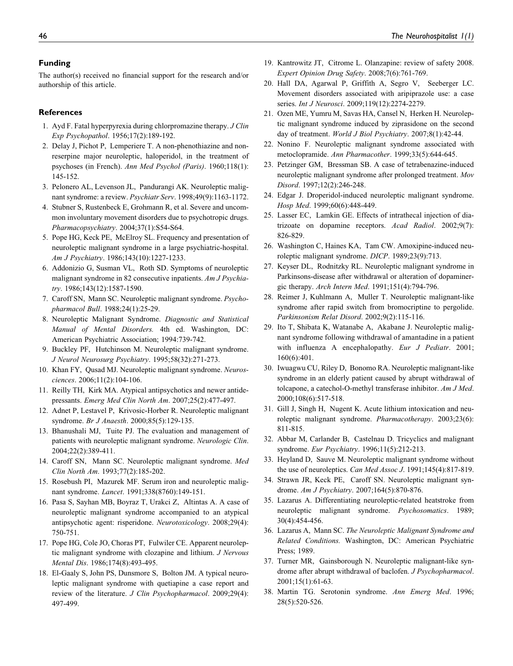## Funding

The author(s) received no financial support for the research and/or authorship of this article.

#### References

- 1. Ayd F. Fatal hyperpyrexia during chlorpromazine therapy. J Clin Exp Psychopathol. 1956;17(2):189-192.
- 2. Delay J, Pichot P, Lemperiere T. A non-phenothiazine and nonreserpine major neuroleptic, haloperidol, in the treatment of psychoses (in French). Ann Med Psychol (Paris). 1960;118(1): 145-152.
- 3. Pelonero AL, Levenson JL, Pandurangi AK. Neuroleptic malignant syndrome: a review. Psychiatr Serv. 1998;49(9):1163-1172.
- 4. Stubner S, Rustenbeck E, Grohmann R, et al. Severe and uncommon involuntary movement disorders due to psychotropic drugs. Pharmacopsychiatry. 2004;37(1):S54-S64.
- 5. Pope HG, Keck PE, McElroy SL. Frequency and presentation of neuroleptic malignant syndrome in a large psychiatric-hospital. Am J Psychiatry. 1986;143(10):1227-1233.
- 6. Addonizio G, Susman VL, Roth SD. Symptoms of neuroleptic malignant syndrome in 82 consecutive inpatients. Am J Psychiatry. 1986;143(12):1587-1590.
- 7. Caroff SN, Mann SC. Neuroleptic malignant syndrome. Psychopharmacol Bull. 1988;24(1):25-29.
- 8. Neuroleptic Malignant Syndrome. Diagnostic and Statistical Manual of Mental Disorders. 4th ed. Washington, DC: American Psychiatric Association; 1994:739-742.
- 9. Buckley PF, Hutchinson M. Neuroleptic malignant syndrome. J Neurol Neurosurg Psychiatry. 1995;58(32):271-273.
- 10. Khan FY, Qusad MJ. Neuroleptic malignant syndrome. Neurosciences. 2006;11(2):104-106.
- 11. Reilly TH, Kirk MA. Atypical antipsychotics and newer antidepressants. Emerg Med Clin North Am. 2007;25(2):477-497.
- 12. Adnet P, Lestavel P, Krivosic-Horber R. Neuroleptic malignant syndrome. Br J Anaesth. 2000;85(5):129-135.
- 13. Bhanushali MJ, Tuite PJ. The evaluation and management of patients with neuroleptic malignant syndrome. Neurologic Clin. 2004;22(2):389-411.
- 14. Caroff SN, Mann SC. Neuroleptic malignant syndrome. Med Clin North Am. 1993;77(2):185-202.
- 15. Rosebush PI, Mazurek MF. Serum iron and neuroleptic malignant syndrome. Lancet. 1991;338(8760):149-151.
- 16. Pasa S, Sayhan MB, Boyraz T, Urakci Z, Altintas A. A case of neuroleptic malignant syndrome accompanied to an atypical antipsychotic agent: risperidone. Neurotoxicology. 2008;29(4): 750-751.
- 17. Pope HG, Cole JO, Choras PT, Fulwiler CE. Apparent neuroleptic malignant syndrome with clozapine and lithium. J Nervous Mental Dis. 1986;174(8):493-495.
- 18. El-Gaaly S, John PS, Dunsmore S, Bolton JM. A typical neuroleptic malignant syndrome with quetiapine a case report and review of the literature. J Clin Psychopharmacol. 2009;29(4): 497-499.
- 19. Kantrowitz JT, Citrome L. Olanzapine: review of safety 2008. Expert Opinion Drug Safety. 2008;7(6):761-769.
- 20. Hall DA, Agarwal P, Griffith A, Segro V, Seeberger LC. Movement disorders associated with aripiprazole use: a case series. Int J Neurosci. 2009;119(12):2274-2279.
- 21. Ozen ME, Yumru M, Savas HA, Cansel N, Herken H. Neuroleptic malignant syndrome induced by ziprasidone on the second day of treatment. World J Biol Psychiatry. 2007;8(1):42-44.
- 22. Nonino F. Neuroleptic malignant syndrome associated with metoclopramide. Ann Pharmacother. 1999;33(5):644-645.
- 23. Petzinger GM, Bressman SB. A case of tetrabenazine-induced neuroleptic malignant syndrome after prolonged treatment. Mov Disord. 1997;12(2):246-248.
- 24. Edgar J. Droperidol-induced neuroleptic malignant syndrome. Hosp Med. 1999;60(6):448-449.
- 25. Lasser EC, Lamkin GE. Effects of intrathecal injection of diatrizoate on dopamine receptors. Acad Radiol. 2002;9(7): 826-829.
- 26. Washington C, Haines KA, Tam CW. Amoxipine-induced neuroleptic malignant syndrome. DICP. 1989;23(9):713.
- 27. Keyser DL, Rodnitzky RL. Neuroleptic malignant syndrome in Parkinsons-disease after withdrawal or alteration of dopaminergic therapy. Arch Intern Med. 1991;151(4):794-796.
- 28. Reimer J, Kuhlmann A, Muller T. Neuroleptic malignant-like syndrome after rapid switch from bromocriptine to pergolide. Parkinsonism Relat Disord. 2002;9(2):115-116.
- 29. Ito T, Shibata K, Watanabe A, Akabane J. Neuroleptic malignant syndrome following withdrawal of amantadine in a patient with influenza A encephalopathy. Eur J Pediatr. 2001; 160(6):401.
- 30. Iwuagwu CU, Riley D, Bonomo RA. Neuroleptic malignant-like syndrome in an elderly patient caused by abrupt withdrawal of tolcapone, a catechol-O-methyl transferase inhibitor. Am J Med. 2000;108(6):517-518.
- 31. Gill J, Singh H, Nugent K. Acute lithium intoxication and neuroleptic malignant syndrome. Pharmacotherapy. 2003;23(6): 811-815.
- 32. Abbar M, Carlander B, Castelnau D. Tricyclics and malignant syndrome. Eur Psychiatry. 1996;11(5):212-213.
- 33. Heyland D, Sauve M. Neuroleptic malignant syndrome without the use of neuroleptics. Can Med Assoc J. 1991;145(4):817-819.
- 34. Strawn JR, Keck PE, Caroff SN. Neuroleptic malignant syndrome. Am J Psychiatry. 2007;164(5):870-876.
- 35. Lazarus A. Differentiating neuroleptic-related heatstroke from neuroleptic malignant syndrome. Psychosomatics. 1989; 30(4):454-456.
- 36. Lazarus A, Mann SC. The Neuroleptic Malignant Syndrome and Related Conditions. Washington, DC: American Psychiatric Press; 1989.
- 37. Turner MR, Gainsborough N. Neuroleptic malignant-like syndrome after abrupt withdrawal of baclofen. J Psychopharmacol. 2001;15(1):61-63.
- 38. Martin TG. Serotonin syndrome. Ann Emerg Med. 1996; 28(5):520-526.